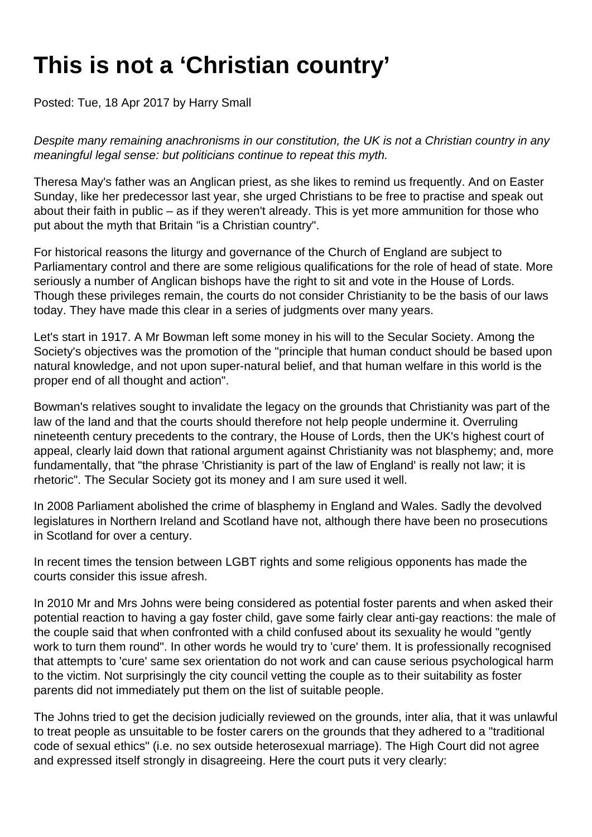## **This is not a 'Christian country'**

Posted: Tue, 18 Apr 2017 by Harry Small

Despite many remaining anachronisms in our constitution, the UK is not a Christian country in any meaningful legal sense: but politicians continue to repeat this myth.

Theresa May's father was an Anglican priest, as she likes to remind us frequently. And on Easter Sunday, like her predecessor last year, she urged Christians to be free to practise and speak out about their faith in public – as if they weren't already. This is yet more ammunition for those who put about the myth that Britain "is a Christian country".

For historical reasons the liturgy and governance of the Church of England are subject to Parliamentary control and there are some religious qualifications for the role of head of state. More seriously a number of Anglican bishops have the right to sit and vote in the House of Lords. Though these privileges remain, the courts do not consider Christianity to be the basis of our laws today. They have made this clear in a series of judgments over many years.

Let's start in 1917. A Mr Bowman left some money in his will to the Secular Society. Among the Society's objectives was the promotion of the "principle that human conduct should be based upon natural knowledge, and not upon super-natural belief, and that human welfare in this world is the proper end of all thought and action".

Bowman's relatives sought to invalidate the legacy on the grounds that Christianity was part of the law of the land and that the courts should therefore not help people undermine it. Overruling nineteenth century precedents to the contrary, the House of Lords, then the UK's highest court of appeal, clearly laid down that rational argument against Christianity was not blasphemy; and, more fundamentally, that "the phrase 'Christianity is part of the law of England' is really not law; it is rhetoric". The Secular Society got its money and I am sure used it well.

In 2008 Parliament abolished the crime of blasphemy in England and Wales. Sadly the devolved legislatures in Northern Ireland and Scotland have not, although there have been no prosecutions in Scotland for over a century.

In recent times the tension between LGBT rights and some religious opponents has made the courts consider this issue afresh.

In 2010 Mr and Mrs Johns were being considered as potential foster parents and when asked their potential reaction to having a gay foster child, gave some fairly clear anti-gay reactions: the male of the couple said that when confronted with a child confused about its sexuality he would "gently work to turn them round". In other words he would try to 'cure' them. It is professionally recognised that attempts to 'cure' same sex orientation do not work and can cause serious psychological harm to the victim. Not surprisingly the city council vetting the couple as to their suitability as foster parents did not immediately put them on the list of suitable people.

The Johns tried to get the decision judicially reviewed on the grounds, inter alia, that it was unlawful to treat people as unsuitable to be foster carers on the grounds that they adhered to a "traditional code of sexual ethics" (i.e. no sex outside heterosexual marriage). The High Court did not agree and expressed itself strongly in disagreeing. Here the court puts it very clearly: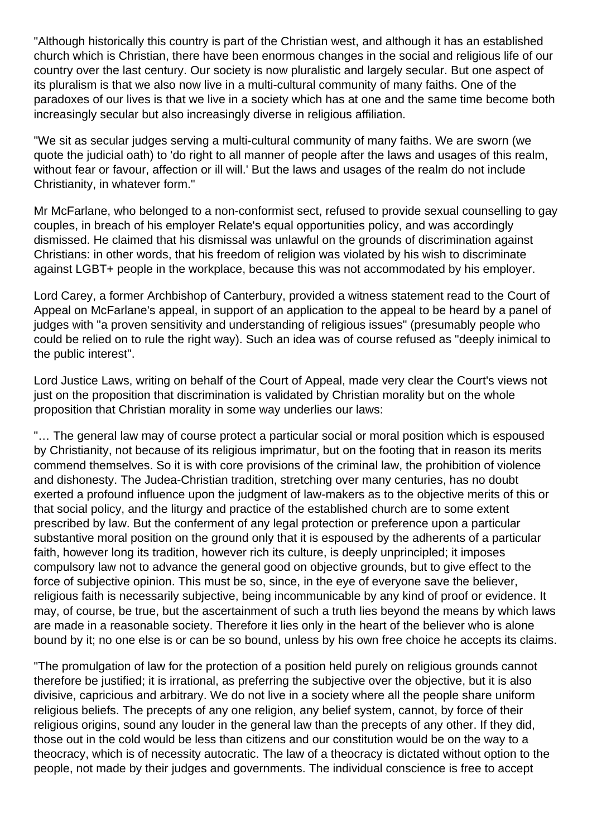"Although historically this country is part of the Christian west, and although it has an established church which is Christian, there have been enormous changes in the social and religious life of our country over the last century. Our society is now pluralistic and largely secular. But one aspect of its pluralism is that we also now live in a multi-cultural community of many faiths. One of the paradoxes of our lives is that we live in a society which has at one and the same time become both increasingly secular but also increasingly diverse in religious affiliation.

"We sit as secular judges serving a multi-cultural community of many faiths. We are sworn (we quote the judicial oath) to 'do right to all manner of people after the laws and usages of this realm, without fear or favour, affection or ill will.' But the laws and usages of the realm do not include Christianity, in whatever form."

Mr McFarlane, who belonged to a non-conformist sect, refused to provide sexual counselling to gay couples, in breach of his employer Relate's equal opportunities policy, and was accordingly dismissed. He claimed that his dismissal was unlawful on the grounds of discrimination against Christians: in other words, that his freedom of religion was violated by his wish to discriminate against LGBT+ people in the workplace, because this was not accommodated by his employer.

Lord Carey, a former Archbishop of Canterbury, provided a witness statement read to the Court of Appeal on McFarlane's appeal, in support of an application to the appeal to be heard by a panel of judges with "a proven sensitivity and understanding of religious issues" (presumably people who could be relied on to rule the right way). Such an idea was of course refused as "deeply inimical to the public interest".

Lord Justice Laws, writing on behalf of the Court of Appeal, made very clear the Court's views not just on the proposition that discrimination is validated by Christian morality but on the whole proposition that Christian morality in some way underlies our laws:

"… The general law may of course protect a particular social or moral position which is espoused by Christianity, not because of its religious imprimatur, but on the footing that in reason its merits commend themselves. So it is with core provisions of the criminal law, the prohibition of violence and dishonesty. The Judea-Christian tradition, stretching over many centuries, has no doubt exerted a profound influence upon the judgment of law-makers as to the objective merits of this or that social policy, and the liturgy and practice of the established church are to some extent prescribed by law. But the conferment of any legal protection or preference upon a particular substantive moral position on the ground only that it is espoused by the adherents of a particular faith, however long its tradition, however rich its culture, is deeply unprincipled; it imposes compulsory law not to advance the general good on objective grounds, but to give effect to the force of subjective opinion. This must be so, since, in the eye of everyone save the believer, religious faith is necessarily subjective, being incommunicable by any kind of proof or evidence. It may, of course, be true, but the ascertainment of such a truth lies beyond the means by which laws are made in a reasonable society. Therefore it lies only in the heart of the believer who is alone bound by it; no one else is or can be so bound, unless by his own free choice he accepts its claims.

"The promulgation of law for the protection of a position held purely on religious grounds cannot therefore be justified; it is irrational, as preferring the subjective over the objective, but it is also divisive, capricious and arbitrary. We do not live in a society where all the people share uniform religious beliefs. The precepts of any one religion, any belief system, cannot, by force of their religious origins, sound any louder in the general law than the precepts of any other. If they did, those out in the cold would be less than citizens and our constitution would be on the way to a theocracy, which is of necessity autocratic. The law of a theocracy is dictated without option to the people, not made by their judges and governments. The individual conscience is free to accept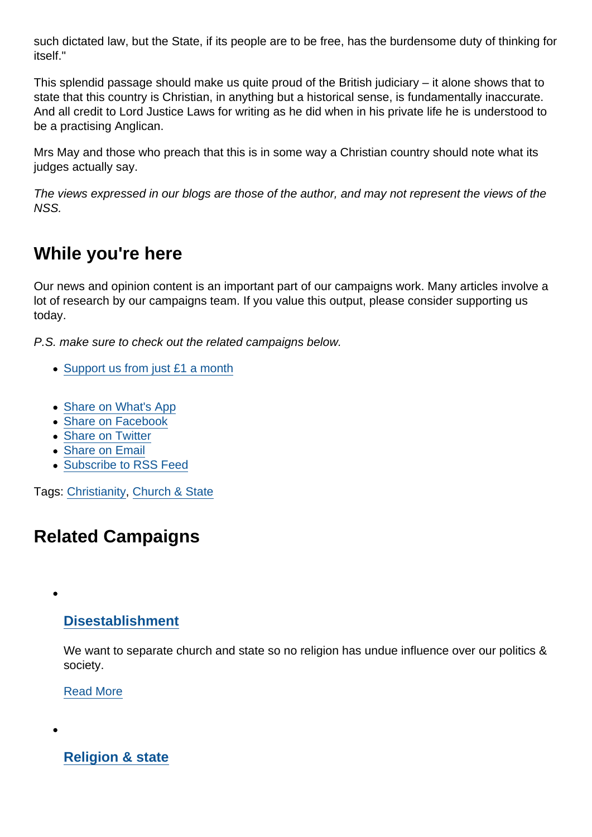such dictated law, but the State, if its people are to be free, has the burdensome duty of thinking for itself."

This splendid passage should make us quite proud of the British judiciary – it alone shows that to state that this country is Christian, in anything but a historical sense, is fundamentally inaccurate. And all credit to Lord Justice Laws for writing as he did when in his private life he is understood to be a practising Anglican.

Mrs May and those who preach that this is in some way a Christian country should note what its judges actually say.

The views expressed in our blogs are those of the author, and may not represent the views of the NSS.

## While you're here

Our news and opinion content is an important part of our campaigns work. Many articles involve a lot of research by our campaigns team. If you value this output, please consider supporting us today.

P.S. make sure to check out the related campaigns below.

- [Support us from just £1 a month](https://www.secularism.org.uk/donate.html)
- [Share on What's App](whatsapp://send?text=http://www.secularism.org.uk/opinion/2017/04/this-is-not-a-christian-country?format=pdf)
- [Share on Facebook](https://www.facebook.com/sharer/sharer.php?u=http://www.secularism.org.uk/opinion/2017/04/this-is-not-a-christian-country?format=pdf&t=This+is+not+a+‘Christian+country’)
- [Share on Twitter](https://twitter.com/intent/tweet?url=http://www.secularism.org.uk/opinion/2017/04/this-is-not-a-christian-country?format=pdf&text=This+is+not+a+‘Christian+country’&via=NatSecSoc)
- [Share on Email](https://www.secularism.org.uk/share.html?url=http://www.secularism.org.uk/opinion/2017/04/this-is-not-a-christian-country?format=pdf&title=This+is+not+a+‘Christian+country’)
- [Subscribe to RSS Feed](/mnt/web-data/www/cp-nss/feeds/rss/news)

Tags: [Christianity,](https://www.secularism.org.uk/opinion/tags/Christianity) [Church & State](https://www.secularism.org.uk/opinion/tags/Church+&+State)

## Related Campaigns

[Disestablishment](https://www.secularism.org.uk/disestablishment/)

We want to separate church and state so no religion has undue influence over our politics & society.

[Read More](https://www.secularism.org.uk/disestablishment/)

[Religion & state](https://www.secularism.org.uk/religion-and-state/)